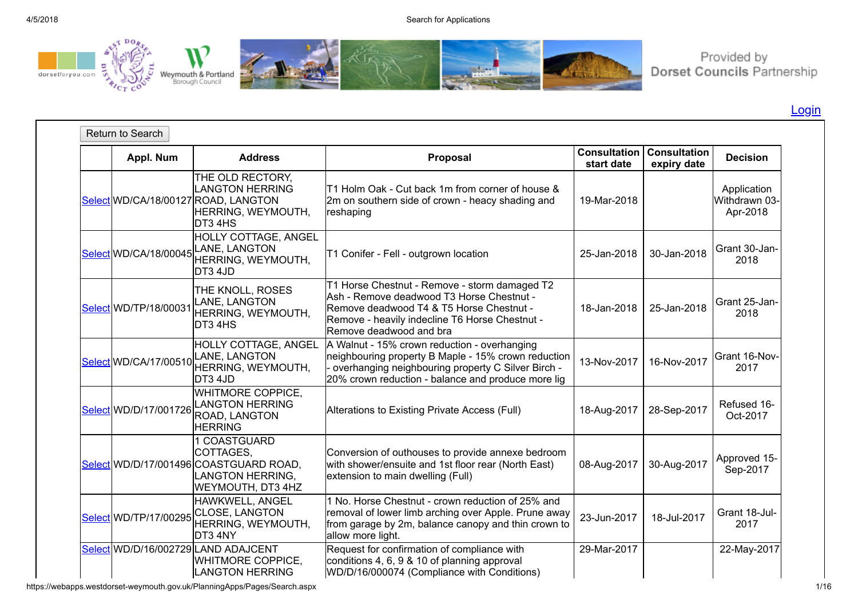

Provided by<br>Dorset Councils Partnership

[Login](javascript:__doPostBack()

| Appl. Num             | <b>Address</b>                                                                                                      | Proposal                                                                                                                                                                                                            | <b>Consultation</b><br>start date | <b>Consultation</b><br>expiry date | <b>Decision</b>                          |
|-----------------------|---------------------------------------------------------------------------------------------------------------------|---------------------------------------------------------------------------------------------------------------------------------------------------------------------------------------------------------------------|-----------------------------------|------------------------------------|------------------------------------------|
|                       | THE OLD RECTORY,<br><b>LANGTON HERRING</b><br>Select WD/CA/18/00127 ROAD, LANGTON<br>HERRING, WEYMOUTH,<br>DT3 4HS  | T1 Holm Oak - Cut back 1m from corner of house &<br>2m on southern side of crown - heacy shading and<br>reshaping                                                                                                   | 19-Mar-2018                       |                                    | Application<br>Withdrawn 03-<br>Apr-2018 |
| Select WD/CA/18/00045 | HOLLY COTTAGE, ANGEL<br>LANE, LANGTON<br>HERRING, WEYMOUTH,<br>DT3 4JD                                              | T1 Conifer - Fell - outgrown location                                                                                                                                                                               | 25-Jan-2018                       | 30-Jan-2018                        | Grant 30-Jan-<br>2018                    |
| Select WD/TP/18/00031 | THE KNOLL, ROSES<br>LANE, LANGTON<br>HERRING, WEYMOUTH,<br>DT3 4HS                                                  | T1 Horse Chestnut - Remove - storm damaged T2<br>Ash - Remove deadwood T3 Horse Chestnut -<br>Remove deadwood T4 & T5 Horse Chestnut -<br>Remove - heavily indecline T6 Horse Chestnut -<br>Remove deadwood and bra | 18-Jan-2018                       | 25-Jan-2018                        | Grant 25-Jan-<br>2018                    |
| Select WD/CA/17/00510 | HOLLY COTTAGE, ANGEL<br>LANE, LANGTON<br>HERRING, WEYMOUTH,<br>DT3 4JD                                              | A Walnut - 15% crown reduction - overhanging<br>neighbouring property B Maple - 15% crown reduction<br>- overhanging neighbouring property C Silver Birch -<br>20% crown reduction - balance and produce more lig   | 13-Nov-2017                       | 16-Nov-2017                        | Grant 16-Nov-<br>2017                    |
| Select WD/D/17/001726 | WHITMORE COPPICE,<br><b>LANGTON HERRING</b><br>ROAD, LANGTON<br><b>HERRING</b>                                      | Alterations to Existing Private Access (Full)                                                                                                                                                                       | 18-Aug-2017                       | 28-Sep-2017                        | Refused 16-<br>Oct-2017                  |
|                       | 1 COASTGUARD<br>COTTAGES,<br>Select WD/D/17/001496 COASTGUARD ROAD,<br><b>LANGTON HERRING,</b><br>WEYMOUTH, DT3 4HZ | Conversion of outhouses to provide annexe bedroom<br>with shower/ensuite and 1st floor rear (North East)<br>extension to main dwelling (Full)                                                                       | 08-Aug-2017                       | 30-Aug-2017                        | Approved 15-<br>Sep-2017                 |
| Select WD/TP/17/00295 | HAWKWELL, ANGEL<br><b>CLOSE, LANGTON</b><br>HERRING, WEYMOUTH,<br>DT3 4NY                                           | 1 No. Horse Chestnut - crown reduction of 25% and<br>removal of lower limb arching over Apple. Prune away<br>from garage by 2m, balance canopy and thin crown to<br>allow more light.                               | 23-Jun-2017                       | 18-Jul-2017                        | Grant 18-Jul-<br>2017                    |
|                       | Select WD/D/16/002729 LAND ADAJCENT<br>WHITMORE COPPICE,<br><b>LANGTON HERRING</b>                                  | Request for confirmation of compliance with<br>conditions 4, 6, 9 & 10 of planning approval<br>WD/D/16/000074 (Compliance with Conditions)                                                                          | 29-Mar-2017                       |                                    | 22-May-2017                              |

https://webapps.westdorset-weymouth.gov.uk/PlanningApps/Pages/Search.aspx 1/16